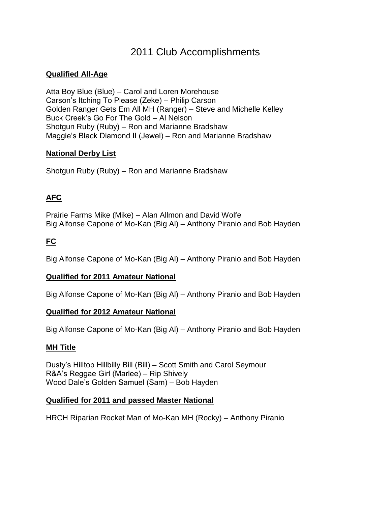# 2011 Club Accomplishments

### **Qualified All-Age**

Atta Boy Blue (Blue) – Carol and Loren Morehouse Carson's Itching To Please (Zeke) – Philip Carson Golden Ranger Gets Em All MH (Ranger) – Steve and Michelle Kelley Buck Creek's Go For The Gold – Al Nelson Shotgun Ruby (Ruby) – Ron and Marianne Bradshaw Maggie's Black Diamond II (Jewel) – Ron and Marianne Bradshaw

#### **National Derby List**

Shotgun Ruby (Ruby) – Ron and Marianne Bradshaw

## **AFC**

Prairie Farms Mike (Mike) – Alan Allmon and David Wolfe Big Alfonse Capone of Mo-Kan (Big Al) – Anthony Piranio and Bob Hayden

# **FC**

Big Alfonse Capone of Mo-Kan (Big Al) – Anthony Piranio and Bob Hayden

## **Qualified for 2011 Amateur National**

Big Alfonse Capone of Mo-Kan (Big Al) – Anthony Piranio and Bob Hayden

#### **Qualified for 2012 Amateur National**

Big Alfonse Capone of Mo-Kan (Big Al) – Anthony Piranio and Bob Hayden

## **MH Title**

Dusty's Hilltop Hillbilly Bill (Bill) – Scott Smith and Carol Seymour R&A's Reggae Girl (Marlee) – Rip Shively Wood Dale's Golden Samuel (Sam) – Bob Hayden

#### **Qualified for 2011 and passed Master National**

HRCH Riparian Rocket Man of Mo-Kan MH (Rocky) – Anthony Piranio